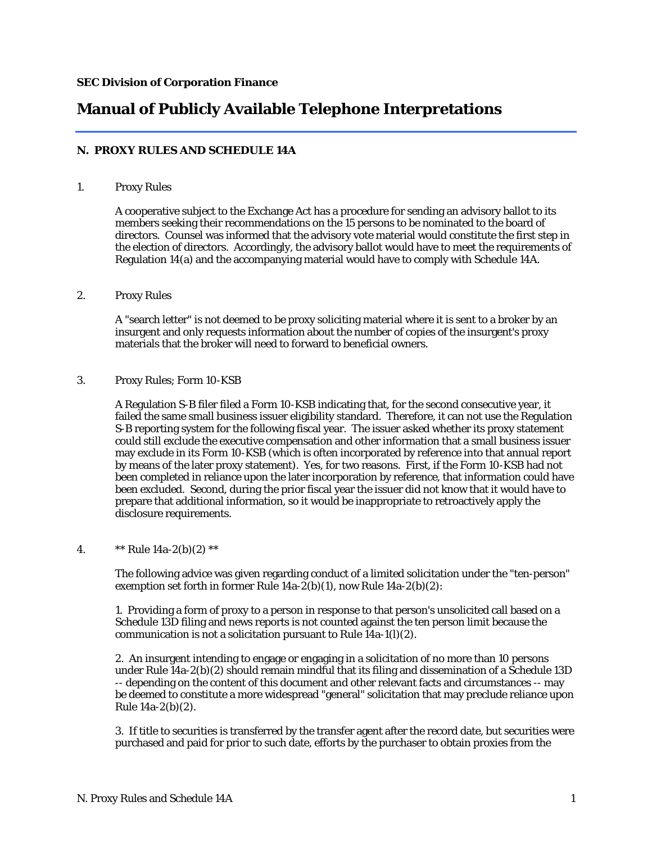# **Manual of Publicly Available Telephone Interpretations**

## **N. PROXY RULES AND SCHEDULE 14A**

## 1. Proxy Rules

A cooperative subject to the Exchange Act has a procedure for sending an advisory ballot to its members seeking their recommendations on the 15 persons to be nominated to the board of directors. Counsel was informed that the advisory vote material would constitute the first step in the election of directors. Accordingly, the advisory ballot would have to meet the requirements of Regulation 14(a) and the accompanying material would have to comply with Schedule 14A.

## 2. Proxy Rules

A "search letter" is not deemed to be proxy soliciting material where it is sent to a broker by an insurgent and only requests information about the number of copies of the insurgent's proxy materials that the broker will need to forward to beneficial owners.

## 3. Proxy Rules; Form 10-KSB

A Regulation S-B filer filed a Form 10-KSB indicating that, for the second consecutive year, it failed the same small business issuer eligibility standard. Therefore, it can not use the Regulation S-B reporting system for the following fiscal year. The issuer asked whether its proxy statement could still exclude the executive compensation and other information that a small business issuer may exclude in its Form 10-KSB (which is often incorporated by reference into that annual report by means of the later proxy statement). Yes, for two reasons. First, if the Form 10-KSB had not been completed in reliance upon the later incorporation by reference, that information could have been excluded. Second, during the prior fiscal year the issuer did not know that it would have to prepare that additional information, so it would be inappropriate to retroactively apply the disclosure requirements.

## 4.  $**$  Rule  $14a-2(b)(2) **$

The following advice was given regarding conduct of a limited solicitation under the "ten-person" exemption set forth in former Rule  $14a-2(b)(1)$ , now Rule  $14a-2(b)(2)$ :

1. Providing a form of proxy to a person in response to that person's unsolicited call based on a Schedule 13D filing and news reports is not counted against the ten person limit because the communication is not a solicitation pursuant to Rule  $14a-1(1)(2)$ .

2. An insurgent intending to engage or engaging in a solicitation of no more than 10 persons under Rule 14a-2(b)(2) should remain mindful that its filing and dissemination of a Schedule 13D -- depending on the content of this document and other relevant facts and circumstances -- may be deemed to constitute a more widespread "general" solicitation that may preclude reliance upon Rule 14a-2(b)(2).

3. If title to securities is transferred by the transfer agent after the record date, but securities were purchased and paid for prior to such date, efforts by the purchaser to obtain proxies from the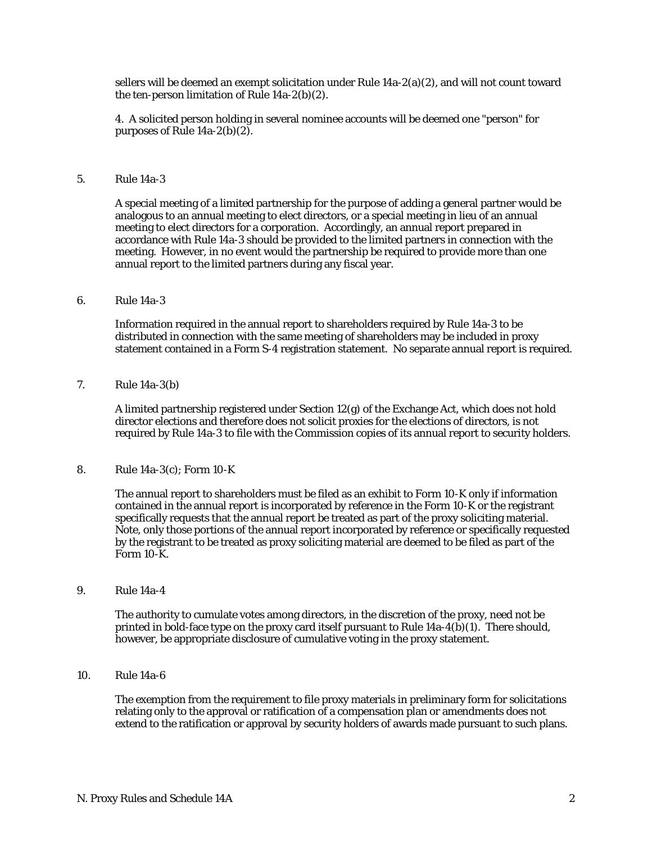sellers will be deemed an exempt solicitation under Rule 14a-2(a)(2), and will not count toward the ten-person limitation of Rule 14a-2(b)(2).

4. A solicited person holding in several nominee accounts will be deemed one "person" for purposes of Rule 14a-2(b)(2).

#### 5. Rule 14a-3

A special meeting of a limited partnership for the purpose of adding a general partner would be analogous to an annual meeting to elect directors, or a special meeting in lieu of an annual meeting to elect directors for a corporation. Accordingly, an annual report prepared in accordance with Rule 14a-3 should be provided to the limited partners in connection with the meeting. However, in no event would the partnership be required to provide more than one annual report to the limited partners during any fiscal year.

#### 6. Rule 14a-3

Information required in the annual report to shareholders required by Rule 14a-3 to be distributed in connection with the same meeting of shareholders may be included in proxy statement contained in a Form S-4 registration statement. No separate annual report is required.

7. Rule 14a-3(b)

A limited partnership registered under Section 12(g) of the Exchange Act, which does not hold director elections and therefore does not solicit proxies for the elections of directors, is not required by Rule 14a-3 to file with the Commission copies of its annual report to security holders.

8. Rule 14a-3(c); Form 10-K

The annual report to shareholders must be filed as an exhibit to Form 10-K only if information contained in the annual report is incorporated by reference in the Form 10-K or the registrant specifically requests that the annual report be treated as part of the proxy soliciting material. Note, only those portions of the annual report incorporated by reference or specifically requested by the registrant to be treated as proxy soliciting material are deemed to be filed as part of the Form 10-K.

9. Rule 14a-4

The authority to cumulate votes among directors, in the discretion of the proxy, need not be printed in bold-face type on the proxy card itself pursuant to Rule 14a-4(b)(1). There should, however, be appropriate disclosure of cumulative voting in the proxy statement.

10. Rule 14a-6

The exemption from the requirement to file proxy materials in preliminary form for solicitations relating only to the approval or ratification of a compensation plan or amendments does not extend to the ratification or approval by security holders of awards made pursuant to such plans.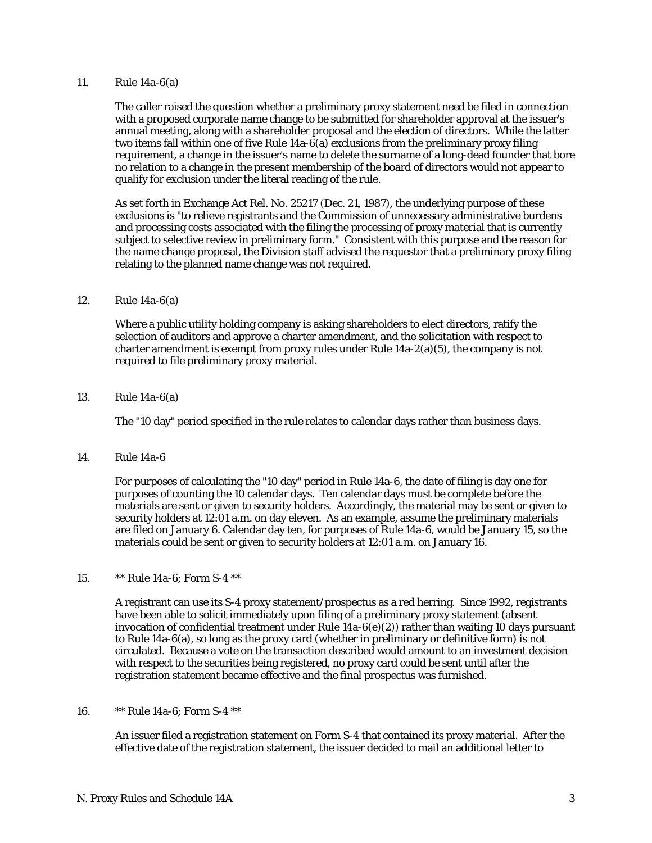## 11. Rule 14a-6(a)

The caller raised the question whether a preliminary proxy statement need be filed in connection with a proposed corporate name change to be submitted for shareholder approval at the issuer's annual meeting, along with a shareholder proposal and the election of directors. While the latter two items fall within one of five Rule 14a-6(a) exclusions from the preliminary proxy filing requirement, a change in the issuer's name to delete the surname of a long-dead founder that bore no relation to a change in the present membership of the board of directors would not appear to qualify for exclusion under the literal reading of the rule.

As set forth in Exchange Act Rel. No. 25217 (Dec. 21, 1987), the underlying purpose of these exclusions is "to relieve registrants and the Commission of unnecessary administrative burdens and processing costs associated with the filing the processing of proxy material that is currently subject to selective review in preliminary form." Consistent with this purpose and the reason for the name change proposal, the Division staff advised the requestor that a preliminary proxy filing relating to the planned name change was not required.

#### 12. Rule 14a-6(a)

Where a public utility holding company is asking shareholders to elect directors, ratify the selection of auditors and approve a charter amendment, and the solicitation with respect to charter amendment is exempt from proxy rules under Rule  $14a-2(a)(5)$ , the company is not required to file preliminary proxy material.

#### 13. Rule 14a-6(a)

The "10 day" period specified in the rule relates to calendar days rather than business days.

14. Rule 14a-6

For purposes of calculating the "10 day" period in Rule 14a-6, the date of filing is day one for purposes of counting the 10 calendar days. Ten calendar days must be complete before the materials are sent or given to security holders. Accordingly, the material may be sent or given to security holders at 12:01 a.m. on day eleven. As an example, assume the preliminary materials are filed on January 6. Calendar day ten, for purposes of Rule 14a-6, would be January 15, so the materials could be sent or given to security holders at 12:01 a.m. on January 16.

## 15. \*\* Rule 14a-6; Form S-4 \*\*

A registrant can use its S-4 proxy statement/prospectus as a red herring. Since 1992, registrants have been able to solicit immediately upon filing of a preliminary proxy statement (absent invocation of confidential treatment under Rule  $14a-6(e)(2)$ ) rather than waiting 10 days pursuant to Rule 14a-6(a), so long as the proxy card (whether in preliminary or definitive form) is not circulated. Because a vote on the transaction described would amount to an investment decision with respect to the securities being registered, no proxy card could be sent until after the registration statement became effective and the final prospectus was furnished.

## 16. \*\* Rule 14a-6; Form S-4 \*\*

An issuer filed a registration statement on Form S-4 that contained its proxy material. After the effective date of the registration statement, the issuer decided to mail an additional letter to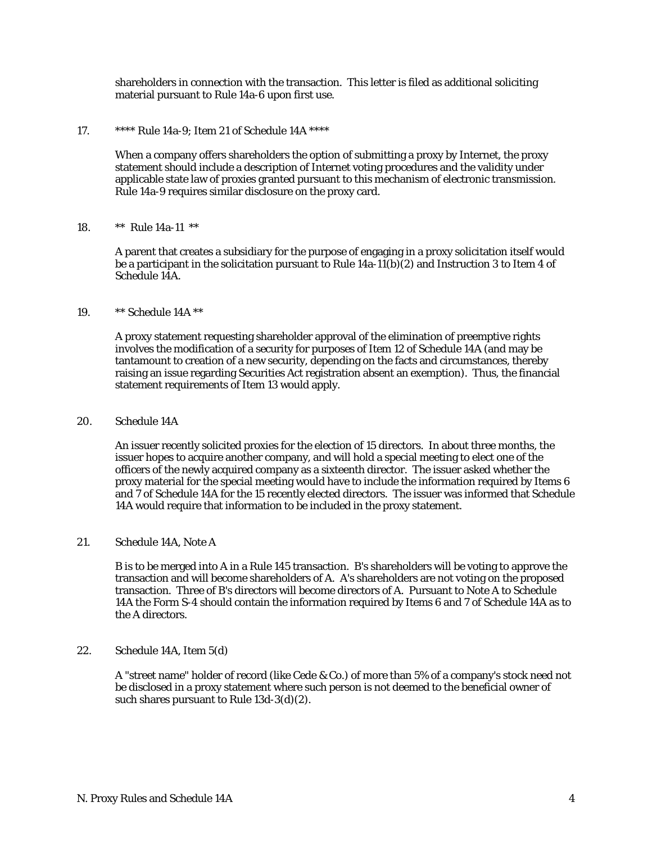shareholders in connection with the transaction. This letter is filed as additional soliciting material pursuant to Rule 14a-6 upon first use.

17. \*\*\*\* Rule 14a-9; Item 21 of Schedule 14A \*\*\*\*

When a company offers shareholders the option of submitting a proxy by Internet, the proxy statement should include a description of Internet voting procedures and the validity under applicable state law of proxies granted pursuant to this mechanism of electronic transmission. Rule 14a-9 requires similar disclosure on the proxy card.

#### 18. \*\* Rule 14a-11 \*\*

A parent that creates a subsidiary for the purpose of engaging in a proxy solicitation itself would be a participant in the solicitation pursuant to Rule  $14a-11(b)(2)$  and Instruction 3 to Item 4 of Schedule 14A.

## 19. \*\* Schedule 14A \*\*

A proxy statement requesting shareholder approval of the elimination of preemptive rights involves the modification of a security for purposes of Item 12 of Schedule 14A (and may be tantamount to creation of a new security, depending on the facts and circumstances, thereby raising an issue regarding Securities Act registration absent an exemption). Thus, the financial statement requirements of Item 13 would apply.

## 20. Schedule 14A

An issuer recently solicited proxies for the election of 15 directors. In about three months, the issuer hopes to acquire another company, and will hold a special meeting to elect one of the officers of the newly acquired company as a sixteenth director. The issuer asked whether the proxy material for the special meeting would have to include the information required by Items 6 and 7 of Schedule 14A for the 15 recently elected directors. The issuer was informed that Schedule 14A would require that information to be included in the proxy statement.

## 21. Schedule 14A, Note A

B is to be merged into A in a Rule 145 transaction. B's shareholders will be voting to approve the transaction and will become shareholders of A. A's shareholders are not voting on the proposed transaction. Three of B's directors will become directors of A. Pursuant to Note A to Schedule 14A the Form S-4 should contain the information required by Items 6 and 7 of Schedule 14A as to the A directors.

## 22. Schedule 14A, Item 5(d)

A "street name" holder of record (like Cede & Co.) of more than 5% of a company's stock need not be disclosed in a proxy statement where such person is not deemed to the beneficial owner of such shares pursuant to Rule 13d-3(d)(2).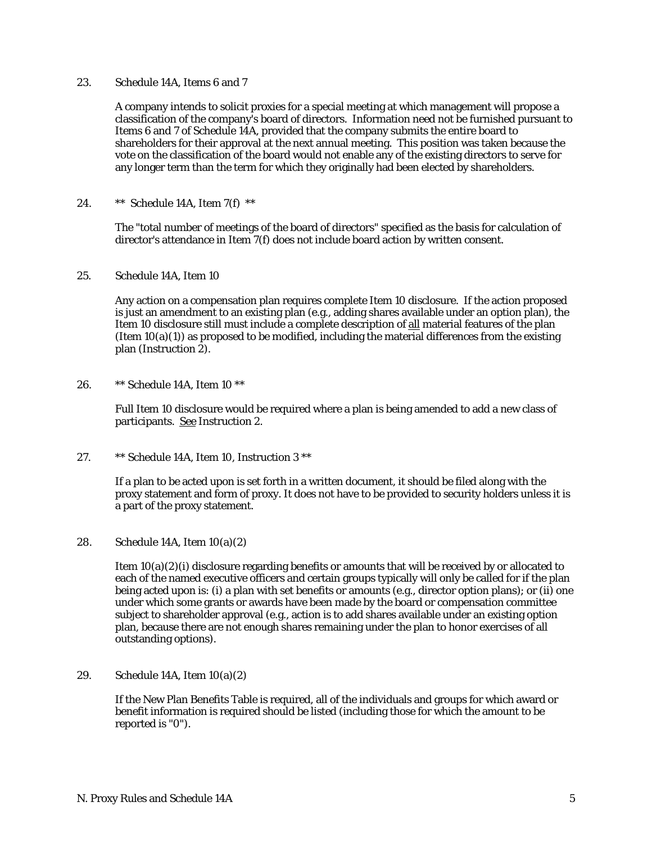## 23. Schedule 14A, Items 6 and 7

A company intends to solicit proxies for a special meeting at which management will propose a classification of the company's board of directors. Information need not be furnished pursuant to Items 6 and 7 of Schedule 14A, provided that the company submits the entire board to shareholders for their approval at the next annual meeting. This position was taken because the vote on the classification of the board would not enable any of the existing directors to serve for any longer term than the term for which they originally had been elected by shareholders.

24. \*\* Schedule 14A, Item 7(f) \*\*

The "total number of meetings of the board of directors" specified as the basis for calculation of director's attendance in Item 7(f) does not include board action by written consent.

25. Schedule 14A, Item 10

Any action on a compensation plan requires complete Item 10 disclosure. If the action proposed is just an amendment to an existing plan (e.g., adding shares available under an option plan), the Item 10 disclosure still must include a complete description of all material features of the plan (Item  $10(a)(1)$ ) as proposed to be modified, including the material differences from the existing plan (Instruction 2).

26. \*\* Schedule 14A, Item 10 \*\*

Full Item 10 disclosure would be required where a plan is being amended to add a new class of participants. See Instruction 2.

27. \*\* Schedule 14A, Item 10, Instruction 3 \*\*

If a plan to be acted upon is set forth in a written document, it should be filed along with the proxy statement and form of proxy. It does not have to be provided to security holders unless it is a part of the proxy statement.

28. Schedule 14A, Item 10(a)(2)

Item  $10(a)(2)(i)$  disclosure regarding benefits or amounts that will be received by or allocated to each of the named executive officers and certain groups typically will only be called for if the plan being acted upon is: (i) a plan with set benefits or amounts (e.g., director option plans); or (ii) one under which some grants or awards have been made by the board or compensation committee subject to shareholder approval (e.g., action is to add shares available under an existing option plan, because there are not enough shares remaining under the plan to honor exercises of all outstanding options).

29. Schedule 14A, Item 10(a)(2)

If the New Plan Benefits Table is required, all of the individuals and groups for which award or benefit information is required should be listed (including those for which the amount to be reported is "0").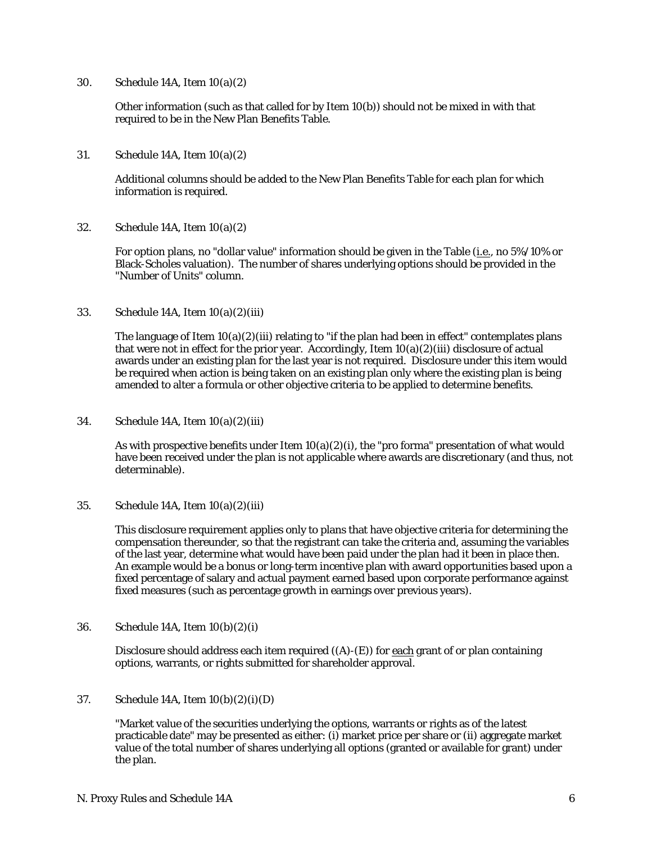30. Schedule 14A, Item 10(a)(2)

Other information (such as that called for by Item 10(b)) should not be mixed in with that required to be in the New Plan Benefits Table.

31. Schedule 14A, Item 10(a)(2)

Additional columns should be added to the New Plan Benefits Table for each plan for which information is required.

32. Schedule 14A, Item 10(a)(2)

For option plans, no "dollar value" information should be given in the Table (i.e., no 5%/10% or Black-Scholes valuation). The number of shares underlying options should be provided in the "Number of Units" column.

33. Schedule 14A, Item 10(a)(2)(iii)

The language of Item  $10(a)(2)(iii)$  relating to "if the plan had been in effect" contemplates plans that were not in effect for the prior year. Accordingly, Item  $10(a)(2)(iii)$  disclosure of actual awards under an existing plan for the last year is not required. Disclosure under this item would be required when action is being taken on an existing plan only where the existing plan is being amended to alter a formula or other objective criteria to be applied to determine benefits.

34. Schedule 14A, Item 10(a)(2)(iii)

As with prospective benefits under Item  $10(a)(2)(i)$ , the "pro forma" presentation of what would have been received under the plan is not applicable where awards are discretionary (and thus, not determinable).

35. Schedule 14A, Item 10(a)(2)(iii)

This disclosure requirement applies only to plans that have objective criteria for determining the compensation thereunder, so that the registrant can take the criteria and, assuming the variables of the last year, determine what would have been paid under the plan had it been in place then. An example would be a bonus or long-term incentive plan with award opportunities based upon a fixed percentage of salary and actual payment earned based upon corporate performance against fixed measures (such as percentage growth in earnings over previous years).

36. Schedule 14A, Item 10(b)(2)(i)

Disclosure should address each item required  $((A)$ - $(E)$ ) for each grant of or plan containing options, warrants, or rights submitted for shareholder approval.

37. Schedule 14A, Item 10(b)(2)(i)(D)

"Market value of the securities underlying the options, warrants or rights as of the latest practicable date" may be presented as either: (i) market price per share or (ii) aggregate market value of the total number of shares underlying all options (granted or available for grant) under the plan.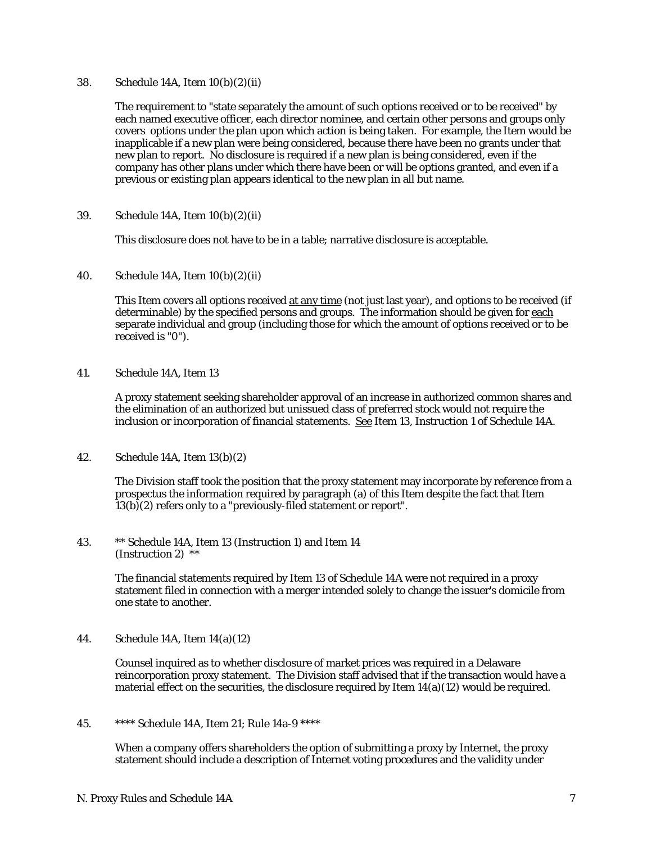## 38. Schedule 14A, Item 10(b)(2)(ii)

The requirement to "state separately the amount of such options received or to be received" by each named executive officer, each director nominee, and certain other persons and groups only covers options under the plan upon which action is being taken. For example, the Item would be inapplicable if a new plan were being considered, because there have been no grants under that new plan to report. No disclosure is required if a new plan is being considered, even if the company has other plans under which there have been or will be options granted, and even if a previous or existing plan appears identical to the new plan in all but name.

39. Schedule 14A, Item 10(b)(2)(ii)

This disclosure does not have to be in a table; narrative disclosure is acceptable.

40. Schedule 14A, Item 10(b)(2)(ii)

This Item covers all options received at any time (not just last year), and options to be received (if determinable) by the specified persons and groups. The information should be given for each separate individual and group (including those for which the amount of options received or to be received is "0").

41. Schedule 14A, Item 13

A proxy statement seeking shareholder approval of an increase in authorized common shares and the elimination of an authorized but unissued class of preferred stock would not require the inclusion or incorporation of financial statements. See Item 13, Instruction 1 of Schedule 14A.

42. Schedule 14A, Item 13(b)(2)

The Division staff took the position that the proxy statement may incorporate by reference from a prospectus the information required by paragraph (a) of this Item despite the fact that Item 13(b)(2) refers only to a "previously-filed statement or report".

43. \*\* Schedule 14A, Item 13 (Instruction 1) and Item 14 (Instruction 2) \*\*

> The financial statements required by Item 13 of Schedule 14A were not required in a proxy statement filed in connection with a merger intended solely to change the issuer's domicile from one state to another.

44. Schedule 14A, Item 14(a)(12)

Counsel inquired as to whether disclosure of market prices was required in a Delaware reincorporation proxy statement. The Division staff advised that if the transaction would have a material effect on the securities, the disclosure required by Item  $14(a)(12)$  would be required.

45. \*\*\*\* Schedule 14A, Item 21; Rule 14a-9 \*\*\*\*

When a company offers shareholders the option of submitting a proxy by Internet, the proxy statement should include a description of Internet voting procedures and the validity under